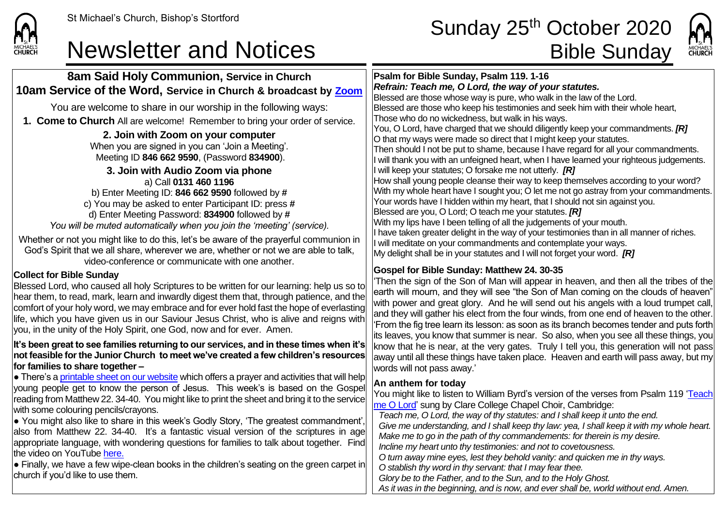

## St Michael's Church, Bishop's Stortford **Sunday 25<sup>th</sup> October 2020** Newsletter and Notices **Bible Sunday**



**8am Said Holy Communion, Service in Church 10am Service of the Word, Service in Church & broadcast by [Zoom](https://zoom.us/)** You are welcome to share in our worship in the following ways: **1. Come to Church** All are welcome! Remember to bring your order of service. **2. Join with Zoom on your computer** When you are signed in you can 'Join a Meeting'. Meeting ID **846 662 9590**, (Password **834900**). **3. Join with Audio Zoom via phone** a) Call **0131 460 1196** b) Enter Meeting ID: **846 662 9590** followed by **#** c) You may be asked to enter Participant ID: press **#** d) Enter Meeting Password: **834900** followed by **#** *You will be muted automatically when you join the 'meeting' (service).* Whether or not you might like to do this, let's be aware of the prayerful communion in God's Spirit that we all share, wherever we are, whether or not we are able to talk, video-conference or communicate with one another. **Collect for Bible Sunday** Blessed Lord, who caused all holy Scriptures to be written for our learning: help us so to hear them, to read, mark, learn and inwardly digest them that, through patience, and the comfort of your holy word, we may embrace and for ever hold fast the hope of everlasting life, which you have given us in our Saviour Jesus Christ, who is alive and reigns with you, in the unity of the Holy Spirit, one God, now and for ever. Amen. **It's been great to see families returning to our services, and in these times when it's not feasible for the Junior Church to meet we've created a few children's resources for families to share together –**  $\bullet$  There's [a printable sheet](https://saintmichaelweb.org.uk/Articles/542815/_Newsletter.aspx) on our website which offers a prayer and activities that will help young people get to know the person of Jesus. This week's is based on the Gospel reading from Matthew 22. 34-40. You might like to print the sheet and bring it to the service with some colouring pencils/crayons.  $\bullet$  You might also like to share in this week's Godly Story, 'The greatest commandment', also from Matthew 22. 34-40. It's a fantastic visual version of the scriptures in age appropriate language, with wondering questions for families to talk about together. Find the video on YouTube [here.](https://www.youtube.com/watch?v=eMzdC7NOgVE)  $\bullet$  Finally, we have a few wipe-clean books in the children's seating on the green carpet in church if you'd like to use them. **Psalm for Bible Sunday, Psalm 119. 1-16** *Refrain: Teach me, O Lord, the way of your statutes.* Blessed are those whose way is pure, who walk in the law of the Lord. Blessed are those who keep his testimonies and seek him with their whole heart, Those who do no wickedness, but walk in his ways. You, O Lord, have charged that we should diligently keep your commandments. *[R]* O that my ways were made so direct that I might keep your statutes. Then should I not be put to shame, because I have regard for all your commandments. I will thank you with an unfeigned heart, when I have learned your righteous judgements. I will keep your statutes; O forsake me not utterly. *[R]* How shall young people cleanse their way to keep themselves according to your word? With my whole heart have I sought you; O let me not go astray from your commandments. Your words have I hidden within my heart, that I should not sin against you. Blessed are you, O Lord; O teach me your statutes. *[R]* With my lips have I been telling of all the judgements of your mouth. If have taken greater delight in the way of your testimonies than in all manner of riches. If will meditate on your commandments and contemplate your ways. My delight shall be in your statutes and I will not forget your word. *[R]* **Gospel for Bible Sunday: Matthew 24. 30-35** 'Then the sign of the Son of Man will appear in heaven, and then all the tribes of the earth will mourn, and they will see "the Son of Man coming on the clouds of heaven" with power and great glory. And he will send out his angels with a loud trumpet call, and they will gather his elect from the four winds, from one end of heaven to the other. 'From the fig tree learn its lesson: as soon as its branch becomes tender and puts forth its leaves, you know that summer is near. So also, when you see all these things, you know that he is near, at the very gates. Truly I tell you, this generation will not pass  $\vert$ away until all these things have taken place. Heaven and earth will pass away, but my words will not pass away.' **An anthem for today** You might like to listen to William Byrd's version of the verses from Psalm 119 'Teach [me O Lord'](https://www.youtube.com/watch?v=3dyMy94wpqE&list=RD3dyMy94wpqE&start_radio=1) sung by Clare College Chapel Choir, Cambridge: *Teach me, O Lord, the way of thy statutes: and I shall keep it unto the end. Give me understanding, and I shall keep thy law: yea, I shall keep it with my whole heart. Make me to go in the path of thy commandements: for therein is my desire. Incline my heart unto thy testimonies: and not to covetousness. O turn away mine eyes, lest they behold vanity: and quicken me in thy ways. O stablish thy word in thy servant: that I may fear thee. Glory be to the Father, and to the Sun, and to the Holy Ghost.* As it was in the beginning, and is now, and ever shall be, world without end. Amen.